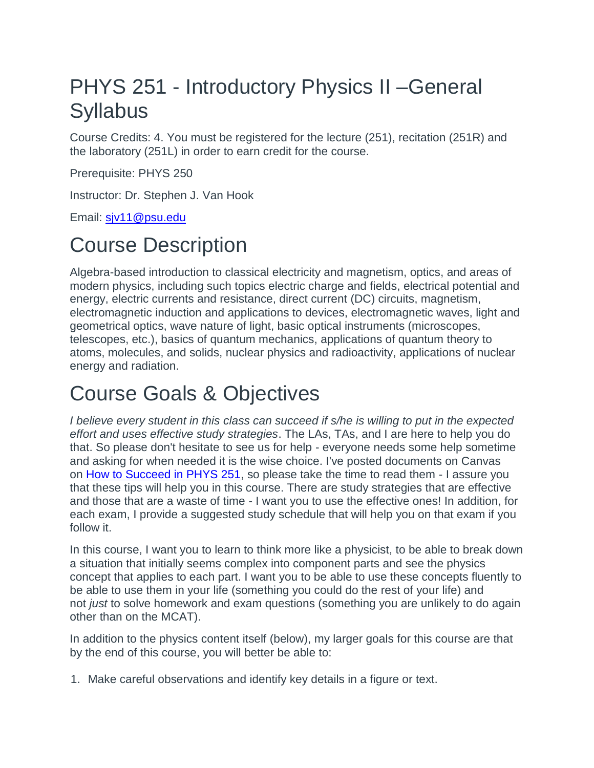## PHYS 251 - Introductory Physics II –General **Syllabus**

Course Credits: 4. You must be registered for the lecture (251), recitation (251R) and the laboratory (251L) in order to earn credit for the course.

Prerequisite: PHYS 250

Instructor: Dr. Stephen J. Van Hook

Email: siv11@psu.edu

## Course Description

Algebra-based introduction to classical electricity and magnetism, optics, and areas of modern physics, including such topics electric charge and fields, electrical potential and energy, electric currents and resistance, direct current (DC) circuits, magnetism, electromagnetic induction and applications to devices, electromagnetic waves, light and geometrical optics, wave nature of light, basic optical instruments (microscopes, telescopes, etc.), basics of quantum mechanics, applications of quantum theory to atoms, molecules, and solids, nuclear physics and radioactivity, applications of nuclear energy and radiation.

### Course Goals & Objectives

*I believe every student in this class can succeed if s/he is willing to put in the expected effort and uses effective study strategies*. The LAs, TAs, and I are here to help you do that. So please don't hesitate to see us for help - everyone needs some help sometime and asking for when needed it is the wise choice. I've posted documents on Canvas on [How to Succeed in PHYS 251,](https://psu.instructure.com/courses/1981891/pages/how-to-succeed-in-phys-251) so please take the time to read them - I assure you that these tips will help you in this course. There are study strategies that are effective and those that are a waste of time - I want you to use the effective ones! In addition, for each exam, I provide a suggested study schedule that will help you on that exam if you follow it.

In this course, I want you to learn to think more like a physicist, to be able to break down a situation that initially seems complex into component parts and see the physics concept that applies to each part. I want you to be able to use these concepts fluently to be able to use them in your life (something you could do the rest of your life) and not *just* to solve homework and exam questions (something you are unlikely to do again other than on the MCAT).

In addition to the physics content itself (below), my larger goals for this course are that by the end of this course, you will better be able to:

1. Make careful observations and identify key details in a figure or text.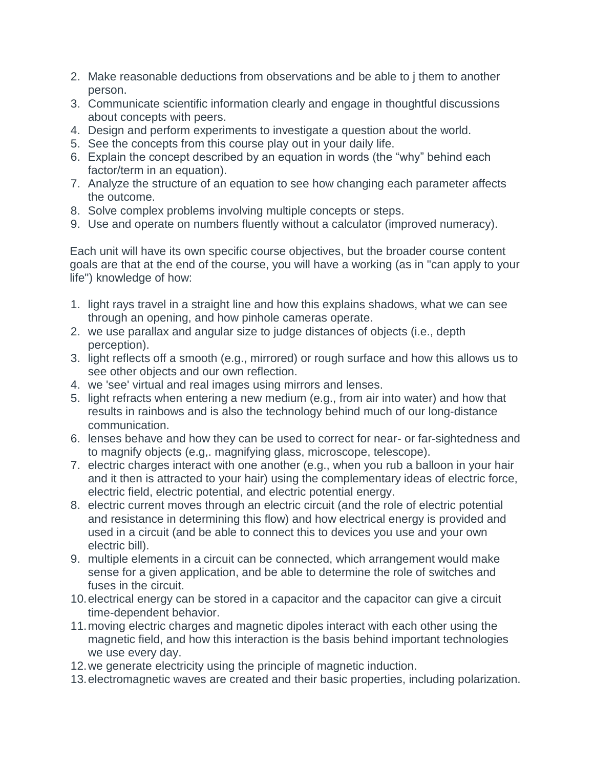- 2. Make reasonable deductions from observations and be able to j them to another person.
- 3. Communicate scientific information clearly and engage in thoughtful discussions about concepts with peers.
- 4. Design and perform experiments to investigate a question about the world.
- 5. See the concepts from this course play out in your daily life.
- 6. Explain the concept described by an equation in words (the "why" behind each factor/term in an equation).
- 7. Analyze the structure of an equation to see how changing each parameter affects the outcome.
- 8. Solve complex problems involving multiple concepts or steps.
- 9. Use and operate on numbers fluently without a calculator (improved numeracy).

Each unit will have its own specific course objectives, but the broader course content goals are that at the end of the course, you will have a working (as in "can apply to your life") knowledge of how:

- 1. light rays travel in a straight line and how this explains shadows, what we can see through an opening, and how pinhole cameras operate.
- 2. we use parallax and angular size to judge distances of objects (i.e., depth perception).
- 3. light reflects off a smooth (e.g., mirrored) or rough surface and how this allows us to see other objects and our own reflection.
- 4. we 'see' virtual and real images using mirrors and lenses.
- 5. light refracts when entering a new medium (e.g., from air into water) and how that results in rainbows and is also the technology behind much of our long-distance communication.
- 6. lenses behave and how they can be used to correct for near- or far-sightedness and to magnify objects (e.g,. magnifying glass, microscope, telescope).
- 7. electric charges interact with one another (e.g., when you rub a balloon in your hair and it then is attracted to your hair) using the complementary ideas of electric force, electric field, electric potential, and electric potential energy.
- 8. electric current moves through an electric circuit (and the role of electric potential and resistance in determining this flow) and how electrical energy is provided and used in a circuit (and be able to connect this to devices you use and your own electric bill).
- 9. multiple elements in a circuit can be connected, which arrangement would make sense for a given application, and be able to determine the role of switches and fuses in the circuit.
- 10.electrical energy can be stored in a capacitor and the capacitor can give a circuit time-dependent behavior.
- 11.moving electric charges and magnetic dipoles interact with each other using the magnetic field, and how this interaction is the basis behind important technologies we use every day.
- 12.we generate electricity using the principle of magnetic induction.
- 13.electromagnetic waves are created and their basic properties, including polarization.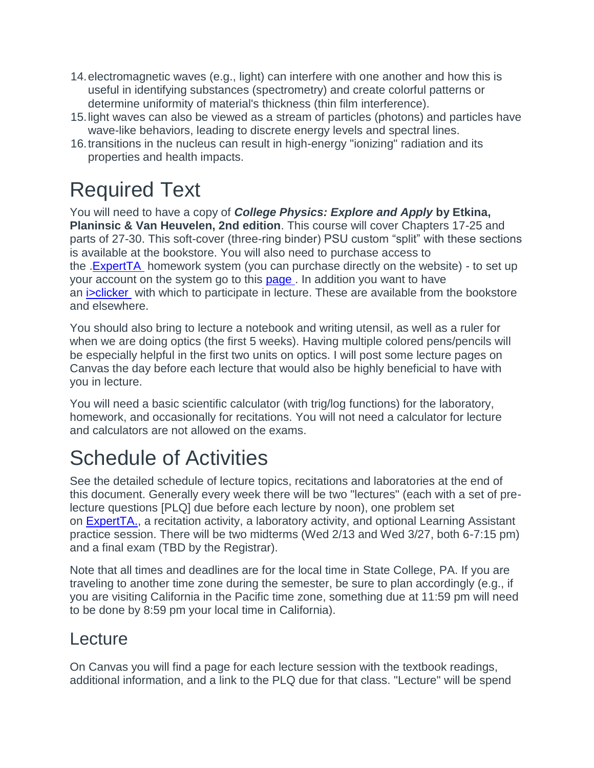- 14.electromagnetic waves (e.g., light) can interfere with one another and how this is useful in identifying substances (spectrometry) and create colorful patterns or determine uniformity of material's thickness (thin film interference).
- 15.light waves can also be viewed as a stream of particles (photons) and particles have wave-like behaviors, leading to discrete energy levels and spectral lines.
- 16.transitions in the nucleus can result in high-energy "ionizing" radiation and its properties and health impacts.

# Required Text

You will need to have a copy of *College Physics: Explore and Apply* **by Etkina, Planinsic & Van Heuvelen, 2nd edition**. This course will cover Chapters 17-25 and parts of 27-30. This soft-cover (three-ring binder) PSU custom "split" with these sections is available at the bookstore. You will also need to purchase access to the **ExpertTA** homework system (you can purchase directly on the website) - to set up your account on the system go to this page . In addition you want to have an **isolicker** with which to participate in lecture. These are available from the bookstore and elsewhere.

You should also bring to lecture a notebook and writing utensil, as well as a ruler for when we are doing optics (the first 5 weeks). Having multiple colored pens/pencils will be especially helpful in the first two units on optics. I will post some lecture pages on Canvas the day before each lecture that would also be highly beneficial to have with you in lecture.

You will need a basic scientific calculator (with trig/log functions) for the laboratory, homework, and occasionally for recitations. You will not need a calculator for lecture and calculators are not allowed on the exams.

## Schedule of Activities

See the detailed schedule of lecture topics, recitations and laboratories at the end of this document. Generally every week there will be two "lectures" (each with a set of prelecture questions [PLQ] due before each lecture by noon), one problem set on [ExpertTA.,](https://theexpertta.com/) a recitation activity, a laboratory activity, and optional Learning Assistant practice session. There will be two midterms (Wed 2/13 and Wed 3/27, both 6-7:15 pm) and a final exam (TBD by the Registrar).

Note that all times and deadlines are for the local time in State College, PA. If you are traveling to another time zone during the semester, be sure to plan accordingly (e.g., if you are visiting California in the Pacific time zone, something due at 11:59 pm will need to be done by 8:59 pm your local time in California).

#### Lecture

On Canvas you will find a page for each lecture session with the textbook readings, additional information, and a link to the PLQ due for that class. "Lecture" will be spend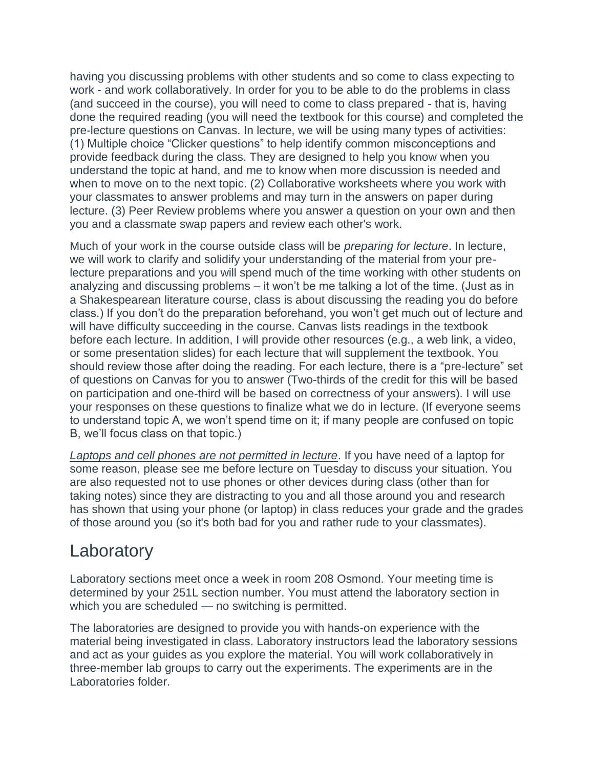having you discussing problems with other students and so come to class expecting to work - and work collaboratively. In order for you to be able to do the problems in class (and succeed in the course), you will need to come to class prepared - that is, having done the required reading (you will need the textbook for this course) and completed the pre-lecture questions on Canvas. In lecture, we will be using many types of activities: (1) Multiple choice "Clicker questions" to help identify common misconceptions and provide feedback during the class. They are designed to help you know when you understand the topic at hand, and me to know when more discussion is needed and when to move on to the next topic. (2) Collaborative worksheets where you work with your classmates to answer problems and may turn in the answers on paper during lecture. (3) Peer Review problems where you answer a question on your own and then you and a classmate swap papers and review each other's work.

Much of your work in the course outside class will be *preparing for lecture*. In lecture, we will work to clarify and solidify your understanding of the material from your prelecture preparations and you will spend much of the time working with other students on analyzing and discussing problems – it won't be me talking a lot of the time. (Just as in a Shakespearean literature course, class is about discussing the reading you do before class.) If you don't do the preparation beforehand, you won't get much out of lecture and will have difficulty succeeding in the course. Canvas lists readings in the textbook before each lecture. In addition, I will provide other resources (e.g., a web link, a video, or some presentation slides) for each lecture that will supplement the textbook. You should review those after doing the reading. For each lecture, there is a "pre-lecture" set of questions on Canvas for you to answer (Two-thirds of the credit for this will be based on participation and one-third will be based on correctness of your answers). I will use your responses on these questions to finalize what we do in lecture. (If everyone seems to understand topic A, we won't spend time on it; if many people are confused on topic B, we'll focus class on that topic.)

*Laptops and cell phones are not permitted in lecture*. If you have need of a laptop for some reason, please see me before lecture on Tuesday to discuss your situation. You are also requested not to use phones or other devices during class (other than for taking notes) since they are distracting to you and all those around you and research has shown that using your phone (or laptop) in class reduces your grade and the grades of those around you (so it's both bad for you and rather rude to your classmates).

#### **Laboratory**

Laboratory sections meet once a week in room 208 Osmond. Your meeting time is determined by your 251L section number. You must attend the laboratory section in which you are scheduled — no switching is permitted.

The laboratories are designed to provide you with hands-on experience with the material being investigated in class. Laboratory instructors lead the laboratory sessions and act as your guides as you explore the material. You will work collaboratively in three-member lab groups to carry out the experiments. The experiments are in the Laboratories folder.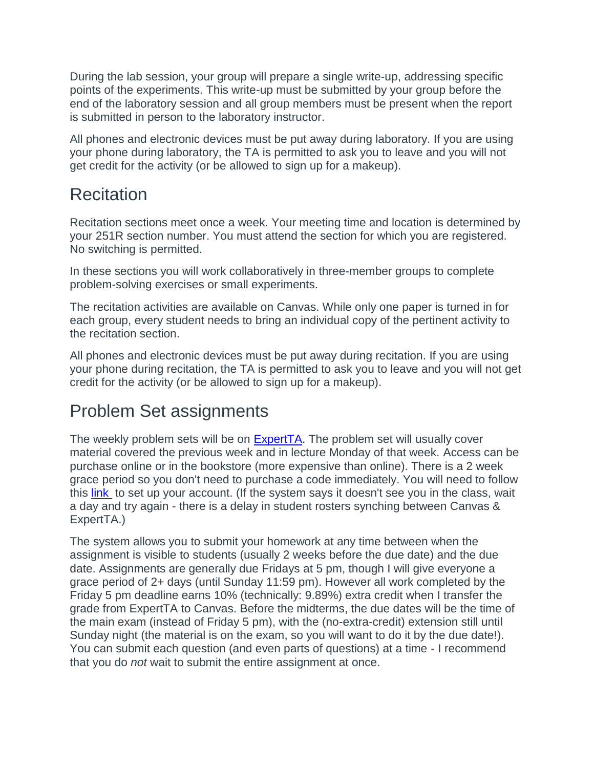During the lab session, your group will prepare a single write-up, addressing specific points of the experiments. This write-up must be submitted by your group before the end of the laboratory session and all group members must be present when the report is submitted in person to the laboratory instructor.

All phones and electronic devices must be put away during laboratory. If you are using your phone during laboratory, the TA is permitted to ask you to leave and you will not get credit for the activity (or be allowed to sign up for a makeup).

#### **Recitation**

Recitation sections meet once a week. Your meeting time and location is determined by your 251R section number. You must attend the section for which you are registered. No switching is permitted.

In these sections you will work collaboratively in three-member groups to complete problem-solving exercises or small experiments.

The recitation activities are available on Canvas. While only one paper is turned in for each group, every student needs to bring an individual copy of the pertinent activity to the recitation section.

All phones and electronic devices must be put away during recitation. If you are using your phone during recitation, the TA is permitted to ask you to leave and you will not get credit for the activity (or be allowed to sign up for a makeup).

### Problem Set assignments

The weekly problem sets will be on [ExpertTA.](https://theexpertta.com/) The problem set will usually cover material covered the previous week and in lecture Monday of that week. Access can be purchase online or in the bookstore (more expensive than online). There is a 2 week grace period so you don't need to purchase a code immediately. You will need to follow this [link](http://goeta.link/USQ40PA-0DF447-1MK) to set up your account. (If the system says it doesn't see you in the class, wait a day and try again - there is a delay in student rosters synching between Canvas & ExpertTA.)

The system allows you to submit your homework at any time between when the assignment is visible to students (usually 2 weeks before the due date) and the due date. Assignments are generally due Fridays at 5 pm, though I will give everyone a grace period of 2+ days (until Sunday 11:59 pm). However all work completed by the Friday 5 pm deadline earns 10% (technically: 9.89%) extra credit when I transfer the grade from ExpertTA to Canvas. Before the midterms, the due dates will be the time of the main exam (instead of Friday 5 pm), with the (no-extra-credit) extension still until Sunday night (the material is on the exam, so you will want to do it by the due date!). You can submit each question (and even parts of questions) at a time - I recommend that you do *not* wait to submit the entire assignment at once.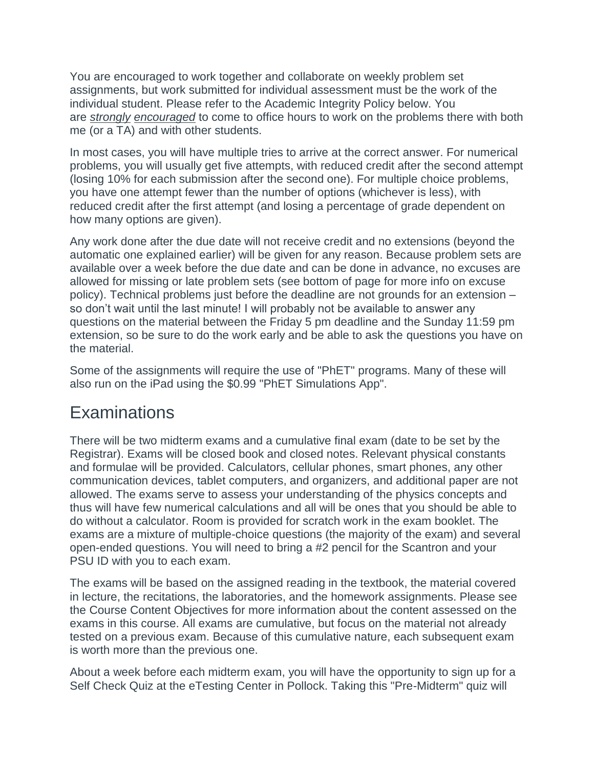You are encouraged to work together and collaborate on weekly problem set assignments, but work submitted for individual assessment must be the work of the individual student. Please refer to the Academic Integrity Policy below. You are *strongly encouraged* to come to office hours to work on the problems there with both me (or a TA) and with other students.

In most cases, you will have multiple tries to arrive at the correct answer. For numerical problems, you will usually get five attempts, with reduced credit after the second attempt (losing 10% for each submission after the second one). For multiple choice problems, you have one attempt fewer than the number of options (whichever is less), with reduced credit after the first attempt (and losing a percentage of grade dependent on how many options are given).

Any work done after the due date will not receive credit and no extensions (beyond the automatic one explained earlier) will be given for any reason. Because problem sets are available over a week before the due date and can be done in advance, no excuses are allowed for missing or late problem sets (see bottom of page for more info on excuse policy). Technical problems just before the deadline are not grounds for an extension – so don't wait until the last minute! I will probably not be available to answer any questions on the material between the Friday 5 pm deadline and the Sunday 11:59 pm extension, so be sure to do the work early and be able to ask the questions you have on the material.

Some of the assignments will require the use of "PhET" programs. Many of these will also run on the iPad using the \$0.99 "PhET Simulations App".

#### **Examinations**

There will be two midterm exams and a cumulative final exam (date to be set by the Registrar). Exams will be closed book and closed notes. Relevant physical constants and formulae will be provided. Calculators, cellular phones, smart phones, any other communication devices, tablet computers, and organizers, and additional paper are not allowed. The exams serve to assess your understanding of the physics concepts and thus will have few numerical calculations and all will be ones that you should be able to do without a calculator. Room is provided for scratch work in the exam booklet. The exams are a mixture of multiple-choice questions (the majority of the exam) and several open-ended questions. You will need to bring a #2 pencil for the Scantron and your PSU ID with you to each exam.

The exams will be based on the assigned reading in the textbook, the material covered in lecture, the recitations, the laboratories, and the homework assignments. Please see the Course Content Objectives for more information about the content assessed on the exams in this course. All exams are cumulative, but focus on the material not already tested on a previous exam. Because of this cumulative nature, each subsequent exam is worth more than the previous one.

About a week before each midterm exam, you will have the opportunity to sign up for a Self Check Quiz at the eTesting Center in Pollock. Taking this "Pre-Midterm" quiz will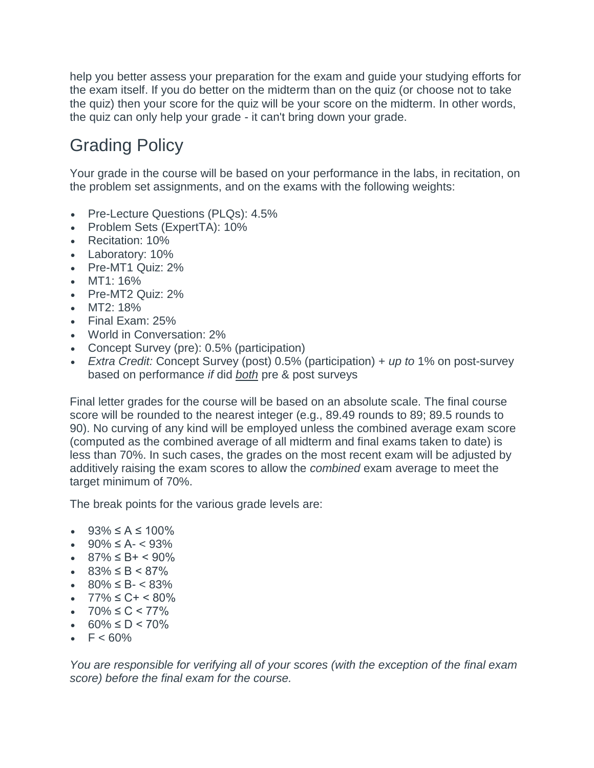help you better assess your preparation for the exam and guide your studying efforts for the exam itself. If you do better on the midterm than on the quiz (or choose not to take the quiz) then your score for the quiz will be your score on the midterm. In other words, the quiz can only help your grade - it can't bring down your grade.

### Grading Policy

Your grade in the course will be based on your performance in the labs, in recitation, on the problem set assignments, and on the exams with the following weights:

- Pre-Lecture Questions (PLQs): 4.5%
- Problem Sets (ExpertTA): 10%
- Recitation: 10%
- Laboratory: 10%
- Pre-MT1 Quiz: 2%
- MT1: 16%
- Pre-MT2 Quiz: 2%
- MT2: 18%
- Final Exam: 25%
- World in Conversation: 2%
- Concept Survey (pre): 0.5% (participation)
- *Extra Credit:* Concept Survey (post) 0.5% (participation) + *up to* 1% on post-survey based on performance *if* did *both* pre & post surveys

Final letter grades for the course will be based on an absolute scale. The final course score will be rounded to the nearest integer (e.g., 89.49 rounds to 89; 89.5 rounds to 90). No curving of any kind will be employed unless the combined average exam score (computed as the combined average of all midterm and final exams taken to date) is less than 70%. In such cases, the grades on the most recent exam will be adjusted by additively raising the exam scores to allow the *combined* exam average to meet the target minimum of 70%.

The break points for the various grade levels are:

- $93\% \le A \le 100\%$
- $90\% \le A 93\%$
- $\bullet$  87%  $\leq$  B +  $\leq$  90%
- 83% ≤ B < 87%
- $80\% \leq B \leq 83\%$
- $77\% \leq C + \leq 80\%$
- $70\% \leq C \leq 77\%$
- $60\% \le D \le 70\%$
- $F < 60\%$

*You are responsible for verifying all of your scores (with the exception of the final exam score) before the final exam for the course.*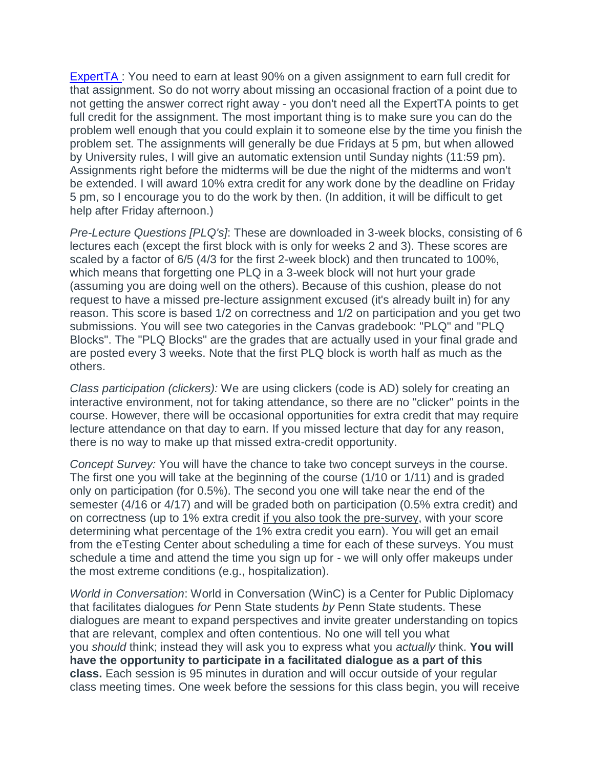ExpertTA : You need to earn at least 90% on a given assignment to earn full credit for that assignment. So do not worry about missing an occasional fraction of a point due to not getting the answer correct right away - you don't need all the ExpertTA points to get full credit for the assignment. The most important thing is to make sure you can do the problem well enough that you could explain it to someone else by the time you finish the problem set. The assignments will generally be due Fridays at 5 pm, but when allowed by University rules, I will give an automatic extension until Sunday nights (11:59 pm). Assignments right before the midterms will be due the night of the midterms and won't be extended. I will award 10% extra credit for any work done by the deadline on Friday 5 pm, so I encourage you to do the work by then. (In addition, it will be difficult to get help after Friday afternoon.)

*Pre-Lecture Questions [PLQ's]*: These are downloaded in 3-week blocks, consisting of 6 lectures each (except the first block with is only for weeks 2 and 3). These scores are scaled by a factor of 6/5 (4/3 for the first 2-week block) and then truncated to 100%, which means that forgetting one PLQ in a 3-week block will not hurt your grade (assuming you are doing well on the others). Because of this cushion, please do not request to have a missed pre-lecture assignment excused (it's already built in) for any reason. This score is based 1/2 on correctness and 1/2 on participation and you get two submissions. You will see two categories in the Canvas gradebook: "PLQ" and "PLQ Blocks". The "PLQ Blocks" are the grades that are actually used in your final grade and are posted every 3 weeks. Note that the first PLQ block is worth half as much as the others.

*Class participation (clickers):* We are using clickers (code is AD) solely for creating an interactive environment, not for taking attendance, so there are no "clicker" points in the course. However, there will be occasional opportunities for extra credit that may require lecture attendance on that day to earn. If you missed lecture that day for any reason, there is no way to make up that missed extra-credit opportunity.

*Concept Survey:* You will have the chance to take two concept surveys in the course. The first one you will take at the beginning of the course (1/10 or 1/11) and is graded only on participation (for 0.5%). The second you one will take near the end of the semester (4/16 or 4/17) and will be graded both on participation (0.5% extra credit) and on correctness (up to 1% extra credit if you also took the pre-survey, with your score determining what percentage of the 1% extra credit you earn). You will get an email from the eTesting Center about scheduling a time for each of these surveys. You must schedule a time and attend the time you sign up for - we will only offer makeups under the most extreme conditions (e.g., hospitalization).

*World in Conversation*: World in Conversation (WinC) is a Center for Public Diplomacy that facilitates dialogues *for* Penn State students *by* Penn State students. These dialogues are meant to expand perspectives and invite greater understanding on topics that are relevant, complex and often contentious. No one will tell you what you *should* think; instead they will ask you to express what you *actually* think. **You will have the opportunity to participate in a facilitated dialogue as a part of this class.** Each session is 95 minutes in duration and will occur outside of your regular class meeting times. One week before the sessions for this class begin, you will receive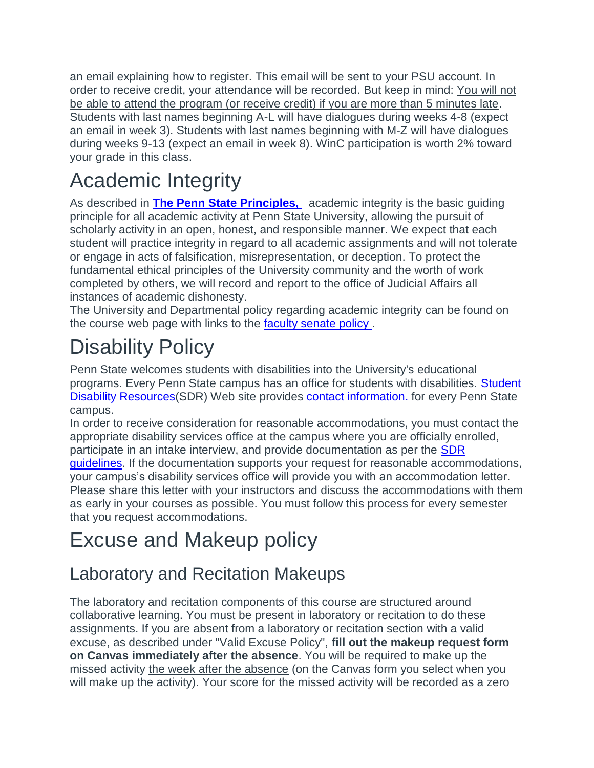an email explaining how to register. This email will be sent to your PSU account. In order to receive credit, your attendance will be recorded. But keep in mind: You will not be able to attend the program (or receive credit) if you are more than 5 minutes late. Students with last names beginning A-L will have dialogues during weeks 4-8 (expect an email in week 3). Students with last names beginning with M-Z will have dialogues during weeks 9-13 (expect an email in week 8). WinC participation is worth 2% toward your grade in this class.

# Academic Integrity

As described in **The Penn State Principles,** academic integrity is the basic guiding principle for all academic activity at Penn State University, allowing the pursuit of scholarly activity in an open, honest, and responsible manner. We expect that each student will practice integrity in regard to all academic assignments and will not tolerate or engage in acts of falsification, misrepresentation, or deception. To protect the fundamental ethical principles of the University community and the worth of work completed by others, we will record and report to the office of Judicial Affairs all instances of academic dishonesty.

The University and Departmental policy regarding academic integrity can be found on the course web page with links to the [faculty senate policy](http://www.psu.edu/ufs/policies/47-00.html#49-20) .

# Disability Policy

Penn State welcomes students with disabilities into the University's educational programs. Every Penn State campus has an office for students with disabilities. [Student](http://equity.psu.edu/sdr)  [Disability Resources\(](http://equity.psu.edu/sdr)SDR) Web site provides [contact information.](http://equity.psu.edu/sdr/disability-coordinator) for every Penn State campus.

In order to receive consideration for reasonable accommodations, you must contact the appropriate disability services office at the campus where you are officially enrolled, participate in an intake interview, and provide documentation as per the [SDR](http://equity.psu.edu/sdr/guidelines)  [guidelines.](http://equity.psu.edu/sdr/guidelines) If the documentation supports your request for reasonable accommodations, your campus's disability services office will provide you with an accommodation letter. Please share this letter with your instructors and discuss the accommodations with them as early in your courses as possible. You must follow this process for every semester that you request accommodations.

# Excuse and Makeup policy

### Laboratory and Recitation Makeups

The laboratory and recitation components of this course are structured around collaborative learning. You must be present in laboratory or recitation to do these assignments. If you are absent from a laboratory or recitation section with a valid excuse, as described under "Valid Excuse Policy", **fill out the makeup request form on Canvas immediately after the absence**. You will be required to make up the missed activity the week after the absence (on the Canvas form you select when you will make up the activity). Your score for the missed activity will be recorded as a zero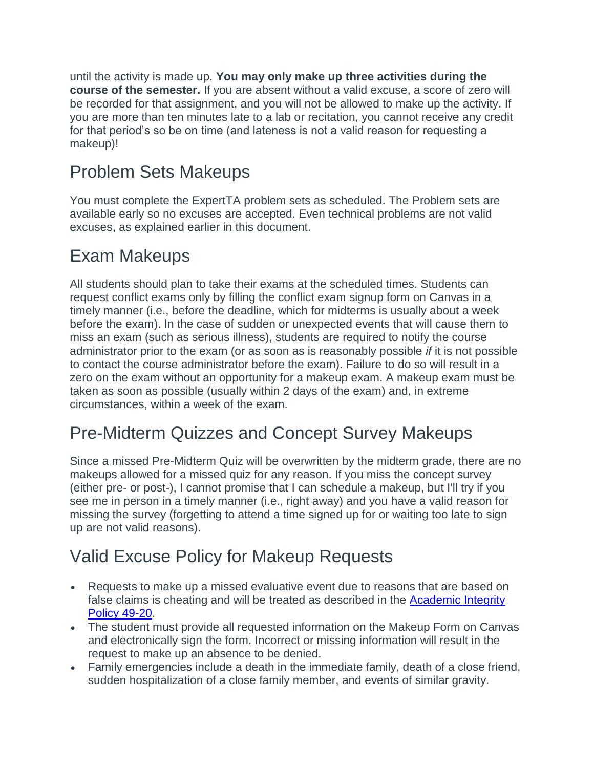until the activity is made up. **You may only make up three activities during the course of the semester.** If you are absent without a valid excuse, a score of zero will be recorded for that assignment, and you will not be allowed to make up the activity. If you are more than ten minutes late to a lab or recitation, you cannot receive any credit for that period's so be on time (and lateness is not a valid reason for requesting a makeup)!

### Problem Sets Makeups

You must complete the ExpertTA problem sets as scheduled. The Problem sets are available early so no excuses are accepted. Even technical problems are not valid excuses, as explained earlier in this document.

### Exam Makeups

All students should plan to take their exams at the scheduled times. Students can request conflict exams only by filling the conflict exam signup form on Canvas in a timely manner (i.e., before the deadline, which for midterms is usually about a week before the exam). In the case of sudden or unexpected events that will cause them to miss an exam (such as serious illness), students are required to notify the course administrator prior to the exam (or as soon as is reasonably possible *if* it is not possible to contact the course administrator before the exam). Failure to do so will result in a zero on the exam without an opportunity for a makeup exam. A makeup exam must be taken as soon as possible (usually within 2 days of the exam) and, in extreme circumstances, within a week of the exam.

### Pre-Midterm Quizzes and Concept Survey Makeups

Since a missed Pre-Midterm Quiz will be overwritten by the midterm grade, there are no makeups allowed for a missed quiz for any reason. If you miss the concept survey (either pre- or post-), I cannot promise that I can schedule a makeup, but I'll try if you see me in person in a timely manner (i.e., right away) and you have a valid reason for missing the survey (forgetting to attend a time signed up for or waiting too late to sign up are not valid reasons).

### Valid Excuse Policy for Makeup Requests

- Requests to make up a missed evaluative event due to reasons that are based on false claims is cheating and will be treated as described in the [Academic Integrity](http://science.psu.edu/current-students/Integrity/Policy.html)  [Policy 49-20.](http://science.psu.edu/current-students/Integrity/Policy.html)
- The student must provide all requested information on the Makeup Form on Canvas and electronically sign the form. Incorrect or missing information will result in the request to make up an absence to be denied.
- Family emergencies include a death in the immediate family, death of a close friend, sudden hospitalization of a close family member, and events of similar gravity.